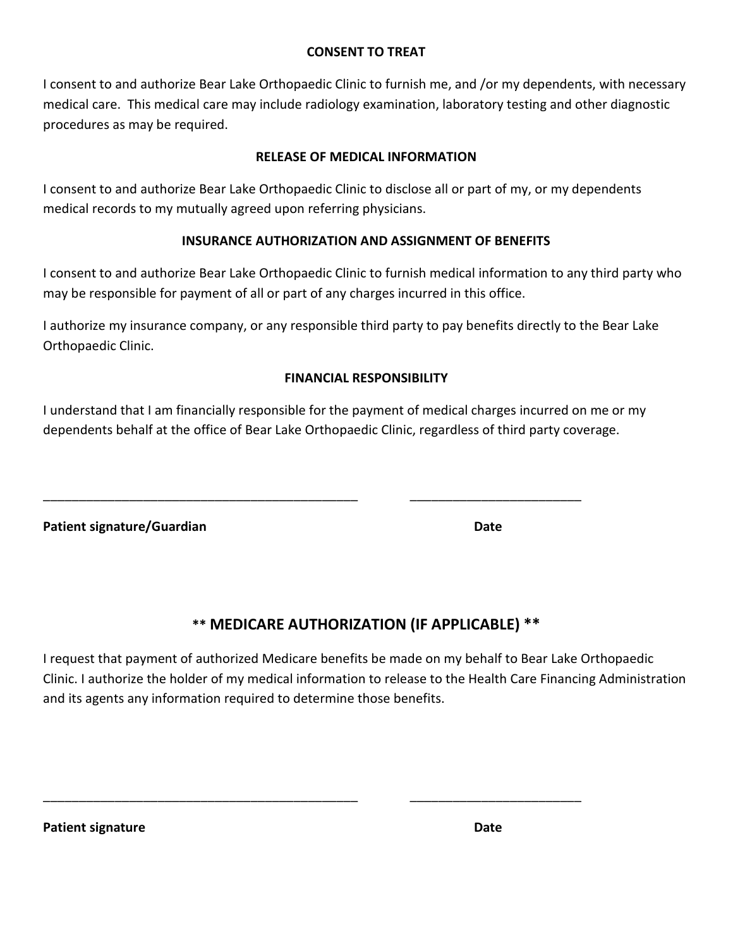# **CONSENT TO TREAT**

I consent to and authorize Bear Lake Orthopaedic Clinic to furnish me, and /or my dependents, with necessary medical care. This medical care may include radiology examination, laboratory testing and other diagnostic procedures as may be required.

# **RELEASE OF MEDICAL INFORMATION**

I consent to and authorize Bear Lake Orthopaedic Clinic to disclose all or part of my, or my dependents medical records to my mutually agreed upon referring physicians.

# **INSURANCE AUTHORIZATION AND ASSIGNMENT OF BENEFITS**

I consent to and authorize Bear Lake Orthopaedic Clinic to furnish medical information to any third party who may be responsible for payment of all or part of any charges incurred in this office.

I authorize my insurance company, or any responsible third party to pay benefits directly to the Bear Lake Orthopaedic Clinic.

# **FINANCIAL RESPONSIBILITY**

I understand that I am financially responsible for the payment of medical charges incurred on me or my dependents behalf at the office of Bear Lake Orthopaedic Clinic, regardless of third party coverage.

\_\_\_\_\_\_\_\_\_\_\_\_\_\_\_\_\_\_\_\_\_\_\_\_\_\_\_\_\_\_\_\_\_\_\_\_\_\_\_\_\_\_\_\_ \_\_\_\_\_\_\_\_\_\_\_\_\_\_\_\_\_\_\_\_\_\_\_\_

\_\_\_\_\_\_\_\_\_\_\_\_\_\_\_\_\_\_\_\_\_\_\_\_\_\_\_\_\_\_\_\_\_\_\_\_\_\_\_\_\_\_\_\_ \_\_\_\_\_\_\_\_\_\_\_\_\_\_\_\_\_\_\_\_\_\_\_\_

**Patient signature/Guardian Date**

# **\*\* MEDICARE AUTHORIZATION (IF APPLICABLE) \*\***

I request that payment of authorized Medicare benefits be made on my behalf to Bear Lake Orthopaedic Clinic. I authorize the holder of my medical information to release to the Health Care Financing Administration and its agents any information required to determine those benefits.

**Patient signature Date**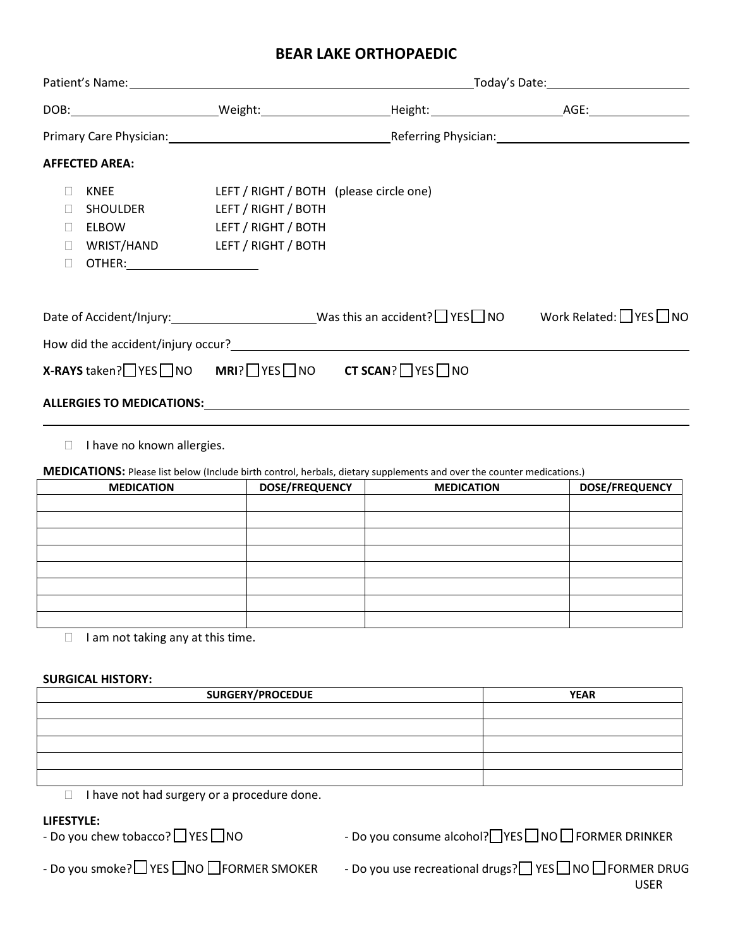# **BEAR LAKE ORTHOPAEDIC**

| <b>AFFECTED AREA:</b>                                                                                                                              |                                                                                                              |                                                                                                                               |                                                                                                              |  |  |  |
|----------------------------------------------------------------------------------------------------------------------------------------------------|--------------------------------------------------------------------------------------------------------------|-------------------------------------------------------------------------------------------------------------------------------|--------------------------------------------------------------------------------------------------------------|--|--|--|
| <b>KNEE</b><br>$\Box$<br>SHOULDER<br>$\Box$<br><b>ELBOW</b><br>$\Box$<br>WRIST/HAND<br>$\Box$<br>OTHER: ________________________<br>$\mathbb{R}^n$ | LEFT / RIGHT / BOTH (please circle one)<br>LEFT / RIGHT / BOTH<br>LEFT / RIGHT / BOTH<br>LEFT / RIGHT / BOTH |                                                                                                                               |                                                                                                              |  |  |  |
|                                                                                                                                                    |                                                                                                              |                                                                                                                               | Date of Accident/Injury: __________________________Was this an accident? I YES I NO Work Related: I YES I NO |  |  |  |
|                                                                                                                                                    |                                                                                                              |                                                                                                                               |                                                                                                              |  |  |  |
| X-RAYS taken? YES NO MRI? YES NO CT SCAN? YES NO                                                                                                   |                                                                                                              |                                                                                                                               |                                                                                                              |  |  |  |
|                                                                                                                                                    |                                                                                                              |                                                                                                                               |                                                                                                              |  |  |  |
| I have no known allergies.<br>П.                                                                                                                   |                                                                                                              | <b>MEDICATIONS:</b> Please list below (Include birth control, herbals, dietary supplements and over the counter medications.) |                                                                                                              |  |  |  |
| <b>MEDICATION</b>                                                                                                                                  | <b>DOSE/FREQUENCY</b>                                                                                        | <b>MEDICATION</b>                                                                                                             | <b>DOSE/FREQUENCY</b>                                                                                        |  |  |  |
|                                                                                                                                                    |                                                                                                              |                                                                                                                               |                                                                                                              |  |  |  |
|                                                                                                                                                    |                                                                                                              |                                                                                                                               |                                                                                                              |  |  |  |
|                                                                                                                                                    |                                                                                                              |                                                                                                                               |                                                                                                              |  |  |  |
|                                                                                                                                                    |                                                                                                              |                                                                                                                               |                                                                                                              |  |  |  |
|                                                                                                                                                    |                                                                                                              |                                                                                                                               |                                                                                                              |  |  |  |

 $\Box$  I am not taking any at this time.

### **SURGICAL HISTORY:**

| <b>SURGERY/PROCEDUE</b> | <b>YEAR</b> |
|-------------------------|-------------|
|                         |             |
|                         |             |
|                         |             |
|                         |             |
|                         |             |

 $\Box$  I have not had surgery or a procedure done.

**LIFESTYLE:**<br>- Do you chew tobacco? □ YES □ NO

- Do you chew tobacco? LUTES LUNO And Consume alcohol? THES ANO FORMER DRINKER

Do you smoke? YES NO FORMER SMOKER - Do you use recreational drugs? YES NO FORMER DRUG - Do you use recreational drugs -D DDDDDDDDDDDDDDDDDDDDDDDDDDDDDDDDDDDDDDDDDDDDDDDDDDDDDDDDDDDDDDDDDDDD USER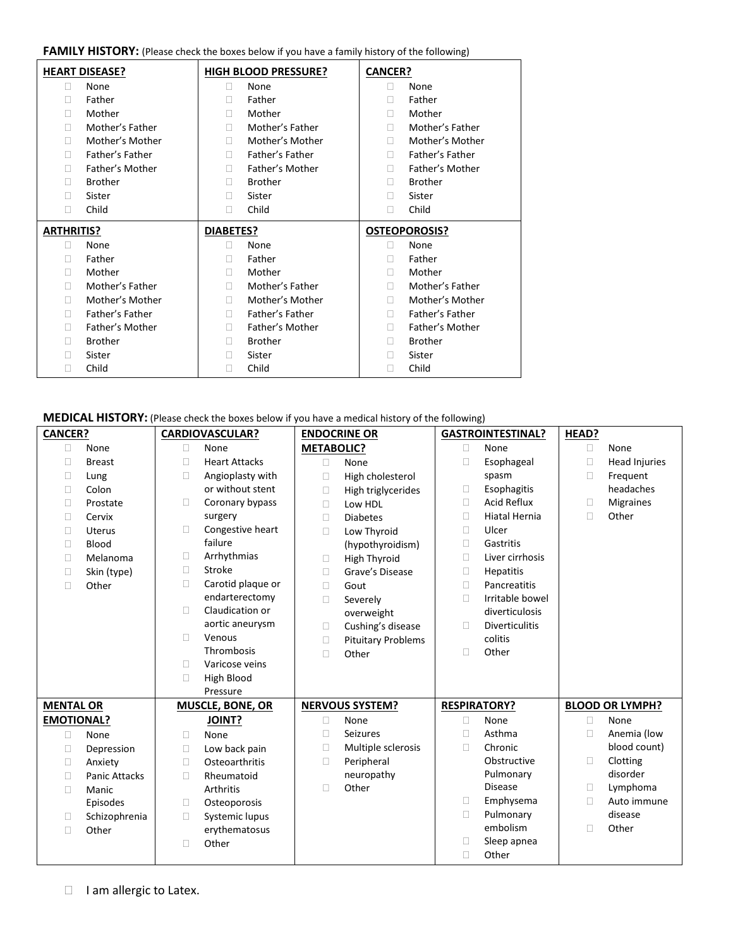#### FAMILY HISTORY: (Please check the boxes below if you have a family history of the following)

| <b>HEART DISEASE?</b> |                 | <b>HIGH BLOOD PRESSURE?</b> |                 | <b>CANCER?</b> |                      |  |
|-----------------------|-----------------|-----------------------------|-----------------|----------------|----------------------|--|
| П                     | None            | П                           | None            | П              | None                 |  |
| П                     | Father          | П                           | Father          | П              | Father               |  |
| Ш                     | Mother          | П                           | Mother          | П              | Mother               |  |
| П                     | Mother's Father | П                           | Mother's Father | п              | Mother's Father      |  |
| П                     | Mother's Mother | П                           | Mother's Mother | П              | Mother's Mother      |  |
| П                     | Father's Father | П                           | Father's Father | п              | Father's Father      |  |
| П                     | Father's Mother | П                           | Father's Mother | П              | Father's Mother      |  |
|                       | <b>Brother</b>  | П                           | <b>Brother</b>  |                | <b>Brother</b>       |  |
| П                     | Sister          | П                           | Sister          | П              | Sister               |  |
| П                     | Child           | П                           | Child           | П              | Child                |  |
|                       |                 |                             |                 |                |                      |  |
| <b>ARTHRITIS?</b>     |                 | DIABETES?                   |                 |                | <b>OSTEOPOROSIS?</b> |  |
| $\mathbf{L}$          | None            | П                           | None            | П              | None                 |  |
|                       | Father          | П                           | Father          | П              | Father               |  |
| $\mathbf{L}$          | Mother          | П                           | Mother          | п              | Mother               |  |
| П                     | Mother's Father | П                           | Mother's Father | п              | Mother's Father      |  |
| П                     | Mother's Mother | П                           | Mother's Mother | П              | Mother's Mother      |  |
| п                     | Father's Father | П                           | Father's Father | П              | Father's Father      |  |
| П                     | Father's Mother | П                           | Father's Mother | п              | Father's Mother      |  |
|                       | <b>Brother</b>  | П                           | <b>Brother</b>  | П              | <b>Brother</b>       |  |
|                       | Sister          | П                           | Sister          | П              | Sister               |  |

### **MEDICAL HISTORY:** (Please check the boxes below if you have a medical history of the following)

| <b>CANCER?</b>    |                      |        | <b>CARDIOVASCULAR?</b>  |                   | <b>ENDOCRINE OR</b>       |        | <b>GASTROINTESTINAL?</b> | HEAD?  |                        |
|-------------------|----------------------|--------|-------------------------|-------------------|---------------------------|--------|--------------------------|--------|------------------------|
| □                 | None                 | $\Box$ | None                    | <b>METABOLIC?</b> |                           | 0      | None                     | $\Box$ | None                   |
| П                 | <b>Breast</b>        | П      | <b>Heart Attacks</b>    | □                 | None                      | □      | Esophageal               | □      | Head Injuries          |
| □                 | Lung                 | $\Box$ | Angioplasty with        | □                 | High cholesterol          |        | spasm                    | $\Box$ | Frequent               |
| □                 | Colon                |        | or without stent        | □                 | High triglycerides        | $\Box$ | Esophagitis              |        | headaches              |
| П                 | Prostate             | П      | Coronary bypass         | $\Box$            | Low HDL                   | П      | <b>Acid Reflux</b>       | П      | <b>Migraines</b>       |
| □                 | Cervix               |        | surgery                 | □                 | <b>Diabetes</b>           | $\Box$ | <b>Hiatal Hernia</b>     | П      | Other                  |
| □                 | <b>Uterus</b>        | П      | Congestive heart        | □                 | Low Thyroid               | $\Box$ | Ulcer                    |        |                        |
| □                 | Blood                |        | failure                 |                   | (hypothyroidism)          | П      | Gastritis                |        |                        |
| □                 | Melanoma             | $\Box$ | Arrhythmias             | $\Box$            | <b>High Thyroid</b>       | □      | Liver cirrhosis          |        |                        |
| □                 | Skin (type)          | $\Box$ | Stroke                  | Ω                 | Grave's Disease           | Ω      | <b>Hepatitis</b>         |        |                        |
| □                 | Other                | $\Box$ | Carotid plaque or       | $\Box$            | Gout                      | □      | Pancreatitis             |        |                        |
|                   |                      |        | endarterectomy          | П                 | Severely                  | П      | Irritable bowel          |        |                        |
|                   |                      | П      | Claudication or         |                   | overweight                |        | diverticulosis           |        |                        |
|                   |                      |        | aortic aneurysm         | $\Box$            | Cushing's disease         | □      | <b>Diverticulitis</b>    |        |                        |
|                   |                      | П      | Venous                  | □                 | <b>Pituitary Problems</b> |        | colitis                  |        |                        |
|                   |                      |        | Thrombosis              | П                 | Other                     | □      | Other                    |        |                        |
|                   |                      | П      | Varicose veins          |                   |                           |        |                          |        |                        |
|                   |                      | $\Box$ | High Blood              |                   |                           |        |                          |        |                        |
|                   |                      |        | Pressure                |                   |                           |        |                          |        |                        |
| <b>MENTAL OR</b>  |                      |        | <b>MUSCLE, BONE, OR</b> |                   | <b>NERVOUS SYSTEM?</b>    |        | <b>RESPIRATORY?</b>      |        | <b>BLOOD OR LYMPH?</b> |
| <b>EMOTIONAL?</b> |                      |        | <b>JOINT?</b>           | □                 | None                      | □      | None                     | $\Box$ | None                   |
| □                 | None                 | $\Box$ | None                    | $\Box$            | <b>Seizures</b>           | □      | Asthma                   | $\Box$ | Anemia (low            |
| □                 | Depression           | $\Box$ | Low back pain           | u                 | Multiple sclerosis        | П      | Chronic                  |        | blood count)           |
| □                 | Anxiety              | $\Box$ | Osteoarthritis          | Ω                 | Peripheral                |        | Obstructive              | □      | Clotting               |
| □                 | <b>Panic Attacks</b> | $\Box$ | Rheumatoid              |                   | neuropathy                |        | Pulmonary                |        | disorder               |
| □                 | Manic                |        | Arthritis               | П                 | Other                     |        | <b>Disease</b>           | П      | Lymphoma               |
|                   | Episodes             | $\Box$ | Osteoporosis            |                   |                           | $\Box$ | Emphysema                | □      | Auto immune            |
| □                 | Schizophrenia        | $\Box$ | Systemic lupus          |                   |                           | □      | Pulmonary                |        | disease                |
| □                 | Other                |        | erythematosus           |                   |                           |        | embolism                 | п      | Other                  |
|                   |                      | П      | Other                   |                   |                           | П      | Sleep apnea              |        |                        |
|                   |                      |        |                         |                   |                           | П      | Other                    |        |                        |